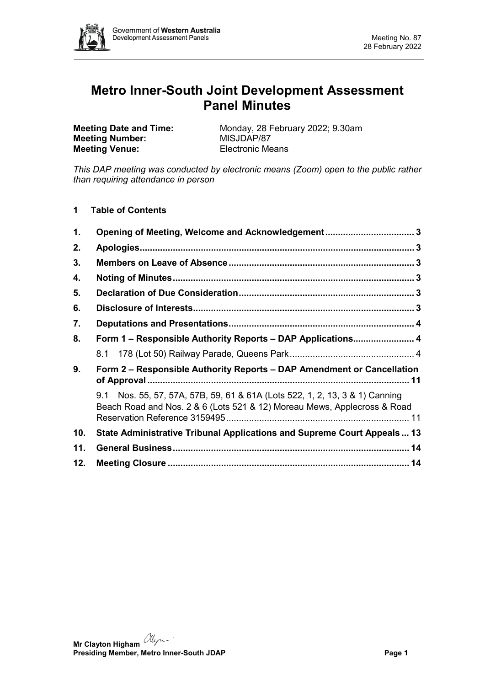

# **Metro Inner-South Joint Development Assessment Panel Minutes**

**Meeting Number: Meeting Venue:** Electronic Means

**Meeting Date and Time:** Monday, 28 February 2022; 9.30am<br> **Meeting Number:** MISJDAP/87

*This DAP meeting was conducted by electronic means (Zoom) open to the public rather than requiring attendance in person*

**1 Table of Contents**

| 1.  | Opening of Meeting, Welcome and Acknowledgement 3                                                                                                       |
|-----|---------------------------------------------------------------------------------------------------------------------------------------------------------|
| 2.  |                                                                                                                                                         |
| 3.  |                                                                                                                                                         |
| 4.  |                                                                                                                                                         |
| 5.  |                                                                                                                                                         |
| 6.  |                                                                                                                                                         |
| 7.  |                                                                                                                                                         |
| 8.  | Form 1 - Responsible Authority Reports - DAP Applications 4                                                                                             |
|     |                                                                                                                                                         |
| 9.  | Form 2 – Responsible Authority Reports – DAP Amendment or Cancellation                                                                                  |
|     | 9.1 Nos. 55, 57, 57A, 57B, 59, 61 & 61A (Lots 522, 1, 2, 13, 3 & 1) Canning<br>Beach Road and Nos. 2 & 6 (Lots 521 & 12) Moreau Mews, Applecross & Road |
| 10. | State Administrative Tribunal Applications and Supreme Court Appeals 13                                                                                 |
| 11. |                                                                                                                                                         |
| 12. |                                                                                                                                                         |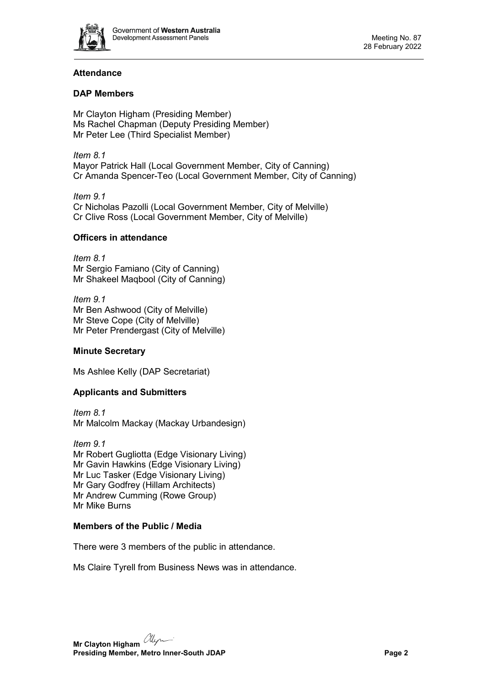

# **Attendance**

# **DAP Members**

Mr Clayton Higham (Presiding Member) Ms Rachel Chapman (Deputy Presiding Member) Mr Peter Lee (Third Specialist Member)

*Item 8.1* Mayor Patrick Hall (Local Government Member, City of Canning) Cr Amanda Spencer-Teo (Local Government Member, City of Canning)

*Item 9.1* Cr Nicholas Pazolli (Local Government Member, City of Melville) Cr Clive Ross (Local Government Member, City of Melville)

## **Officers in attendance**

*Item 8.1* Mr Sergio Famiano (City of Canning) Mr Shakeel Maqbool (City of Canning)

*Item 9.1* Mr Ben Ashwood (City of Melville) Mr Steve Cope (City of Melville) Mr Peter Prendergast (City of Melville)

## **Minute Secretary**

Ms Ashlee Kelly (DAP Secretariat)

# **Applicants and Submitters**

*Item 8.1* Mr Malcolm Mackay (Mackay Urbandesign)

*Item 9.1* Mr Robert Gugliotta (Edge Visionary Living) Mr Gavin Hawkins (Edge Visionary Living) Mr Luc Tasker (Edge Visionary Living) Mr Gary Godfrey (Hillam Architects) Mr Andrew Cumming (Rowe Group) Mr Mike Burns

## **Members of the Public / Media**

There were 3 members of the public in attendance.

Ms Claire Tyrell from Business News was in attendance.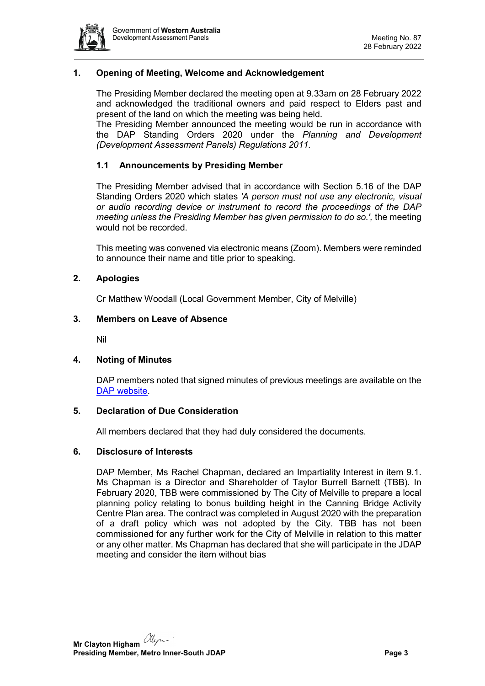

## <span id="page-2-0"></span>**1. Opening of Meeting, Welcome and Acknowledgement**

The Presiding Member declared the meeting open at 9.33am on 28 February 2022 and acknowledged the traditional owners and paid respect to Elders past and present of the land on which the meeting was being held.

The Presiding Member announced the meeting would be run in accordance with the DAP Standing Orders 2020 under the *Planning and Development (Development Assessment Panels) Regulations 2011.*

#### **1.1 Announcements by Presiding Member**

The Presiding Member advised that in accordance with Section 5.16 of the DAP Standing Orders 2020 which states *'A person must not use any electronic, visual or audio recording device or instrument to record the proceedings of the DAP meeting unless the Presiding Member has given permission to do so.',* the meeting would not be recorded.

This meeting was convened via electronic means (Zoom). Members were reminded to announce their name and title prior to speaking.

#### <span id="page-2-1"></span>**2. Apologies**

Cr Matthew Woodall (Local Government Member, City of Melville)

#### <span id="page-2-2"></span>**3. Members on Leave of Absence**

Nil

#### <span id="page-2-3"></span>**4. Noting of Minutes**

DAP members noted that signed minutes of previous meetings are available on the [DAP website.](https://www.dplh.wa.gov.au/about/development-assessment-panels/daps-agendas-and-minutes)

#### <span id="page-2-4"></span>**5. Declaration of Due Consideration**

All members declared that they had duly considered the documents.

#### <span id="page-2-5"></span>**6. Disclosure of Interests**

DAP Member, Ms Rachel Chapman, declared an Impartiality Interest in item 9.1. Ms Chapman is a Director and Shareholder of Taylor Burrell Barnett (TBB). In February 2020, TBB were commissioned by The City of Melville to prepare a local planning policy relating to bonus building height in the Canning Bridge Activity Centre Plan area. The contract was completed in August 2020 with the preparation of a draft policy which was not adopted by the City. TBB has not been commissioned for any further work for the City of Melville in relation to this matter or any other matter. Ms Chapman has declared that she will participate in the JDAP meeting and consider the item without bias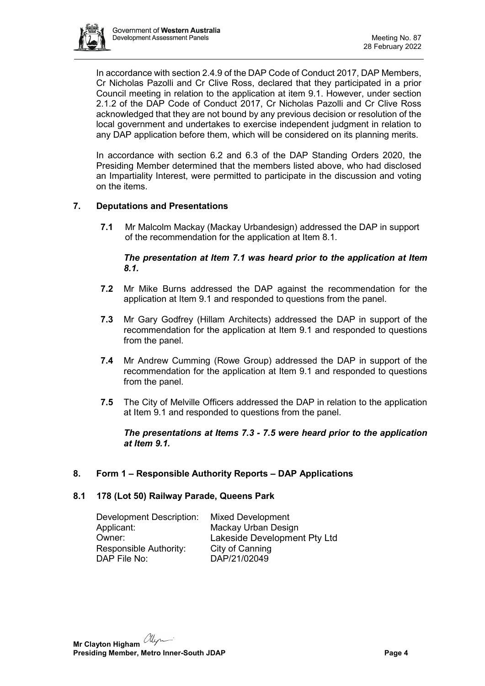

In accordance with section 2.4.9 of the DAP Code of Conduct 2017, DAP Members, Cr Nicholas Pazolli and Cr Clive Ross, declared that they participated in a prior Council meeting in relation to the application at item 9.1. However, under section 2.1.2 of the DAP Code of Conduct 2017, Cr Nicholas Pazolli and Cr Clive Ross acknowledged that they are not bound by any previous decision or resolution of the local government and undertakes to exercise independent judgment in relation to any DAP application before them, which will be considered on its planning merits.

In accordance with section 6.2 and 6.3 of the DAP Standing Orders 2020, the Presiding Member determined that the members listed above, who had disclosed an Impartiality Interest, were permitted to participate in the discussion and voting on the items.

# <span id="page-3-0"></span>**7. Deputations and Presentations**

**7.1** Mr Malcolm Mackay (Mackay Urbandesign) addressed the DAP in support of the recommendation for the application at Item 8.1.

## *The presentation at Item 7.1 was heard prior to the application at Item 8.1.*

- **7.2** Mr Mike Burns addressed the DAP against the recommendation for the application at Item 9.1 and responded to questions from the panel.
- **7.3** Mr Gary Godfrey (Hillam Architects) addressed the DAP in support of the recommendation for the application at Item 9.1 and responded to questions from the panel.
- **7.4** Mr Andrew Cumming (Rowe Group) addressed the DAP in support of the recommendation for the application at Item 9.1 and responded to questions from the panel.
- **7.5** The City of Melville Officers addressed the DAP in relation to the application at Item 9.1 and responded to questions from the panel.

#### *The presentations at Items 7.3 - 7.5 were heard prior to the application at Item 9.1.*

## <span id="page-3-1"></span>**8. Form 1 – Responsible Authority Reports – DAP Applications**

## <span id="page-3-2"></span>**8.1 178 (Lot 50) Railway Parade, Queens Park**

| <b>Development Description:</b> | <b>Mixed Development</b>     |
|---------------------------------|------------------------------|
| Applicant:                      | Mackay Urban Design          |
| Owner:                          | Lakeside Development Pty Ltd |
| Responsible Authority:          | City of Canning              |
| DAP File No:                    | DAP/21/02049                 |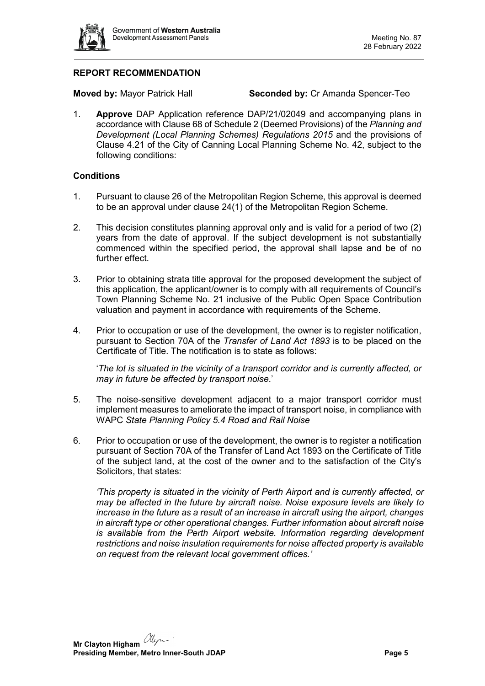

# **REPORT RECOMMENDATION**

**Moved by:** Mayor Patrick Hall **Seconded by:** Cr Amanda Spencer-Teo

1. **Approve** DAP Application reference DAP/21/02049 and accompanying plans in accordance with Clause 68 of Schedule 2 (Deemed Provisions) of the *Planning and Development (Local Planning Schemes) Regulations 2015* and the provisions of Clause 4.21 of the City of Canning Local Planning Scheme No. 42, subject to the following conditions:

#### **Conditions**

- 1. Pursuant to clause 26 of the Metropolitan Region Scheme, this approval is deemed to be an approval under clause 24(1) of the Metropolitan Region Scheme.
- 2. This decision constitutes planning approval only and is valid for a period of two (2) years from the date of approval. If the subject development is not substantially commenced within the specified period, the approval shall lapse and be of no further effect.
- 3. Prior to obtaining strata title approval for the proposed development the subject of this application, the applicant/owner is to comply with all requirements of Council's Town Planning Scheme No. 21 inclusive of the Public Open Space Contribution valuation and payment in accordance with requirements of the Scheme.
- 4. Prior to occupation or use of the development, the owner is to register notification, pursuant to Section 70A of the *Transfer of Land Act 1893* is to be placed on the Certificate of Title. The notification is to state as follows:

'*The lot is situated in the vicinity of a transport corridor and is currently affected, or may in future be affected by transport noise*.'

- 5. The noise-sensitive development adjacent to a major transport corridor must implement measures to ameliorate the impact of transport noise, in compliance with WAPC *State Planning Policy 5.4 Road and Rail Noise*
- 6. Prior to occupation or use of the development, the owner is to register a notification pursuant of Section 70A of the Transfer of Land Act 1893 on the Certificate of Title of the subject land, at the cost of the owner and to the satisfaction of the City's Solicitors, that states:

*'This property is situated in the vicinity of Perth Airport and is currently affected, or may be affected in the future by aircraft noise. Noise exposure levels are likely to increase in the future as a result of an increase in aircraft using the airport, changes in aircraft type or other operational changes. Further information about aircraft noise is available from the Perth Airport website. Information regarding development restrictions and noise insulation requirements for noise affected property is available on request from the relevant local government offices.'*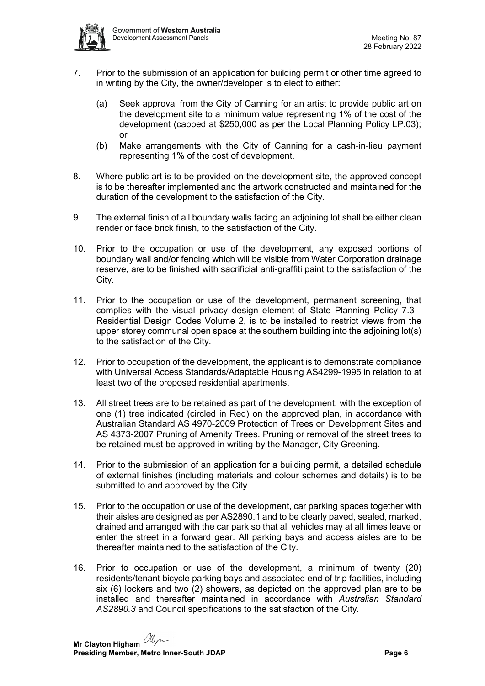

- 7. Prior to the submission of an application for building permit or other time agreed to in writing by the City, the owner/developer is to elect to either:
	- (a) Seek approval from the City of Canning for an artist to provide public art on the development site to a minimum value representing 1% of the cost of the development (capped at \$250,000 as per the Local Planning Policy LP.03); or
	- (b) Make arrangements with the City of Canning for a cash-in-lieu payment representing 1% of the cost of development.
- 8. Where public art is to be provided on the development site, the approved concept is to be thereafter implemented and the artwork constructed and maintained for the duration of the development to the satisfaction of the City.
- 9. The external finish of all boundary walls facing an adjoining lot shall be either clean render or face brick finish, to the satisfaction of the City.
- 10. Prior to the occupation or use of the development, any exposed portions of boundary wall and/or fencing which will be visible from Water Corporation drainage reserve, are to be finished with sacrificial anti-graffiti paint to the satisfaction of the City.
- 11. Prior to the occupation or use of the development, permanent screening, that complies with the visual privacy design element of State Planning Policy 7.3 - Residential Design Codes Volume 2, is to be installed to restrict views from the upper storey communal open space at the southern building into the adjoining lot(s) to the satisfaction of the City.
- 12. Prior to occupation of the development, the applicant is to demonstrate compliance with Universal Access Standards/Adaptable Housing AS4299-1995 in relation to at least two of the proposed residential apartments.
- 13. All street trees are to be retained as part of the development, with the exception of one (1) tree indicated (circled in Red) on the approved plan, in accordance with Australian Standard AS 4970-2009 Protection of Trees on Development Sites and AS 4373-2007 Pruning of Amenity Trees. Pruning or removal of the street trees to be retained must be approved in writing by the Manager, City Greening.
- 14. Prior to the submission of an application for a building permit, a detailed schedule of external finishes (including materials and colour schemes and details) is to be submitted to and approved by the City.
- 15. Prior to the occupation or use of the development, car parking spaces together with their aisles are designed as per AS2890.1 and to be clearly paved, sealed, marked, drained and arranged with the car park so that all vehicles may at all times leave or enter the street in a forward gear. All parking bays and access aisles are to be thereafter maintained to the satisfaction of the City.
- 16. Prior to occupation or use of the development, a minimum of twenty (20) residents/tenant bicycle parking bays and associated end of trip facilities, including six (6) lockers and two (2) showers, as depicted on the approved plan are to be installed and thereafter maintained in accordance with *Australian Standard AS2890.3* and Council specifications to the satisfaction of the City.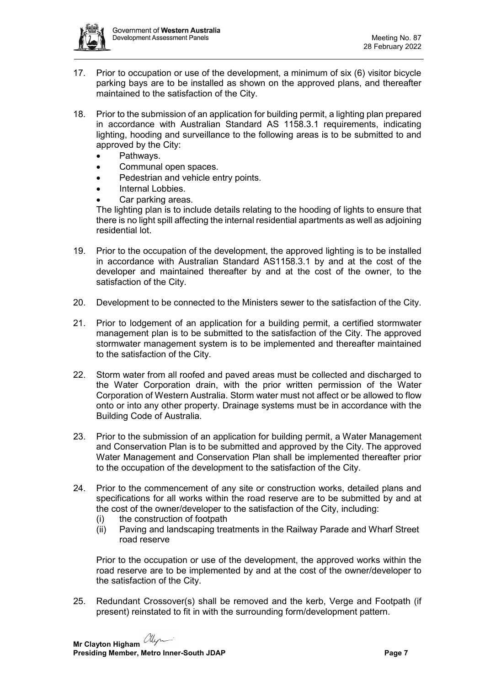

- 17. Prior to occupation or use of the development, a minimum of six (6) visitor bicycle parking bays are to be installed as shown on the approved plans, and thereafter maintained to the satisfaction of the City.
- 18. Prior to the submission of an application for building permit, a lighting plan prepared in accordance with Australian Standard AS 1158.3.1 requirements, indicating lighting, hooding and surveillance to the following areas is to be submitted to and approved by the City:
	- Pathways.
	- Communal open spaces.
	- Pedestrian and vehicle entry points.
	- Internal Lobbies.
	- Car parking areas.

The lighting plan is to include details relating to the hooding of lights to ensure that there is no light spill affecting the internal residential apartments as well as adjoining residential lot.

- 19. Prior to the occupation of the development, the approved lighting is to be installed in accordance with Australian Standard AS1158.3.1 by and at the cost of the developer and maintained thereafter by and at the cost of the owner, to the satisfaction of the City.
- 20. Development to be connected to the Ministers sewer to the satisfaction of the City.
- 21. Prior to lodgement of an application for a building permit, a certified stormwater management plan is to be submitted to the satisfaction of the City. The approved stormwater management system is to be implemented and thereafter maintained to the satisfaction of the City.
- 22. Storm water from all roofed and paved areas must be collected and discharged to the Water Corporation drain, with the prior written permission of the Water Corporation of Western Australia. Storm water must not affect or be allowed to flow onto or into any other property. Drainage systems must be in accordance with the Building Code of Australia.
- 23. Prior to the submission of an application for building permit, a Water Management and Conservation Plan is to be submitted and approved by the City. The approved Water Management and Conservation Plan shall be implemented thereafter prior to the occupation of the development to the satisfaction of the City.
- 24. Prior to the commencement of any site or construction works, detailed plans and specifications for all works within the road reserve are to be submitted by and at the cost of the owner/developer to the satisfaction of the City, including:
	- (i) the construction of footpath
	- (ii) Paving and landscaping treatments in the Railway Parade and Wharf Street road reserve

Prior to the occupation or use of the development, the approved works within the road reserve are to be implemented by and at the cost of the owner/developer to the satisfaction of the City.

25. Redundant Crossover(s) shall be removed and the kerb, Verge and Footpath (if present) reinstated to fit in with the surrounding form/development pattern.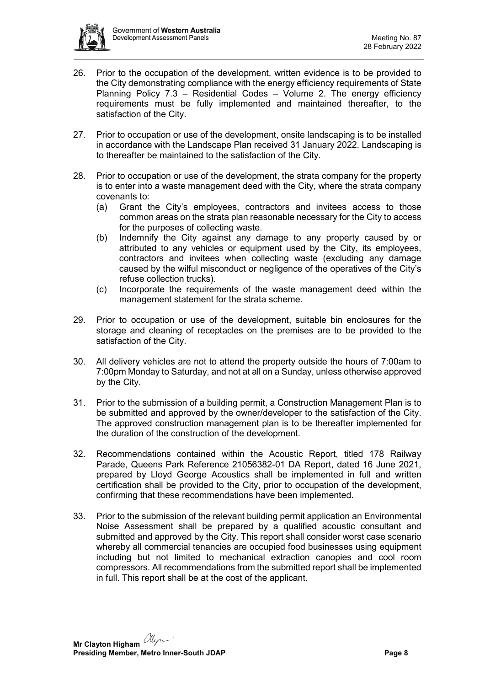

- 26. Prior to the occupation of the development, written evidence is to be provided to the City demonstrating compliance with the energy efficiency requirements of State Planning Policy 7.3 - Residential Codes - Volume 2. The energy efficiency requirements must be fully implemented and maintained thereafter, to the satisfaction of the City.
- 27. Prior to occupation or use of the development, onsite landscaping is to be installed in accordance with the Landscape Plan received 31 January 2022. Landscaping is to thereafter be maintained to the satisfaction of the City.
- 28. Prior to occupation or use of the development, the strata company for the property is to enter into a waste management deed with the City, where the strata company covenants to:
	- (a) Grant the City's employees, contractors and invitees access to those common areas on the strata plan reasonable necessary for the City to access for the purposes of collecting waste.
	- (b) Indemnify the City against any damage to any property caused by or attributed to any vehicles or equipment used by the City, its employees, contractors and invitees when collecting waste (excluding any damage caused by the wilful misconduct or negligence of the operatives of the City's refuse collection trucks).
	- (c) Incorporate the requirements of the waste management deed within the management statement for the strata scheme.
- 29. Prior to occupation or use of the development, suitable bin enclosures for the storage and cleaning of receptacles on the premises are to be provided to the satisfaction of the City.
- 30. All delivery vehicles are not to attend the property outside the hours of 7:00am to 7:00pm Monday to Saturday, and not at all on a Sunday, unless otherwise approved by the City.
- 31. Prior to the submission of a building permit, a Construction Management Plan is to be submitted and approved by the owner/developer to the satisfaction of the City. The approved construction management plan is to be thereafter implemented for the duration of the construction of the development.
- 32. Recommendations contained within the Acoustic Report, titled 178 Railway Parade, Queens Park Reference 21056382-01 DA Report, dated 16 June 2021, prepared by Lloyd George Acoustics shall be implemented in full and written certification shall be provided to the City, prior to occupation of the development, confirming that these recommendations have been implemented.
- 33. Prior to the submission of the relevant building permit application an Environmental Noise Assessment shall be prepared by a qualified acoustic consultant and submitted and approved by the City. This report shall consider worst case scenario whereby all commercial tenancies are occupied food businesses using equipment including but not limited to mechanical extraction canopies and cool room compressors. All recommendations from the submitted report shall be implemented in full. This report shall be at the cost of the applicant.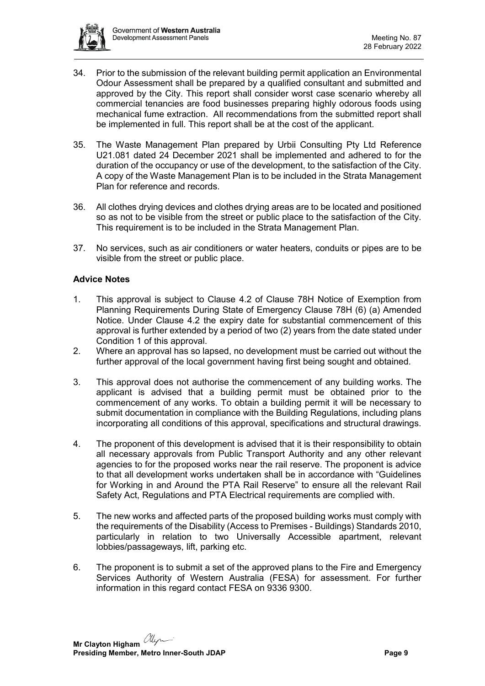

- 34. Prior to the submission of the relevant building permit application an Environmental Odour Assessment shall be prepared by a qualified consultant and submitted and approved by the City. This report shall consider worst case scenario whereby all commercial tenancies are food businesses preparing highly odorous foods using mechanical fume extraction. All recommendations from the submitted report shall be implemented in full. This report shall be at the cost of the applicant.
- 35. The Waste Management Plan prepared by Urbii Consulting Pty Ltd Reference U21.081 dated 24 December 2021 shall be implemented and adhered to for the duration of the occupancy or use of the development, to the satisfaction of the City. A copy of the Waste Management Plan is to be included in the Strata Management Plan for reference and records.
- 36. All clothes drying devices and clothes drying areas are to be located and positioned so as not to be visible from the street or public place to the satisfaction of the City. This requirement is to be included in the Strata Management Plan.
- 37. No services, such as air conditioners or water heaters, conduits or pipes are to be visible from the street or public place.

## **Advice Notes**

- 1. This approval is subject to Clause 4.2 of Clause 78H Notice of Exemption from Planning Requirements During State of Emergency Clause 78H (6) (a) Amended Notice. Under Clause 4.2 the expiry date for substantial commencement of this approval is further extended by a period of two (2) years from the date stated under Condition 1 of this approval.
- 2. Where an approval has so lapsed, no development must be carried out without the further approval of the local government having first being sought and obtained.
- 3. This approval does not authorise the commencement of any building works. The applicant is advised that a building permit must be obtained prior to the commencement of any works. To obtain a building permit it will be necessary to submit documentation in compliance with the Building Regulations, including plans incorporating all conditions of this approval, specifications and structural drawings.
- 4. The proponent of this development is advised that it is their responsibility to obtain all necessary approvals from Public Transport Authority and any other relevant agencies to for the proposed works near the rail reserve. The proponent is advice to that all development works undertaken shall be in accordance with "Guidelines for Working in and Around the PTA Rail Reserve" to ensure all the relevant Rail Safety Act, Regulations and PTA Electrical requirements are complied with.
- 5. The new works and affected parts of the proposed building works must comply with the requirements of the Disability (Access to Premises - Buildings) Standards 2010, particularly in relation to two Universally Accessible apartment, relevant lobbies/passageways, lift, parking etc.
- 6. The proponent is to submit a set of the approved plans to the Fire and Emergency Services Authority of Western Australia (FESA) for assessment. For further information in this regard contact FESA on 9336 9300.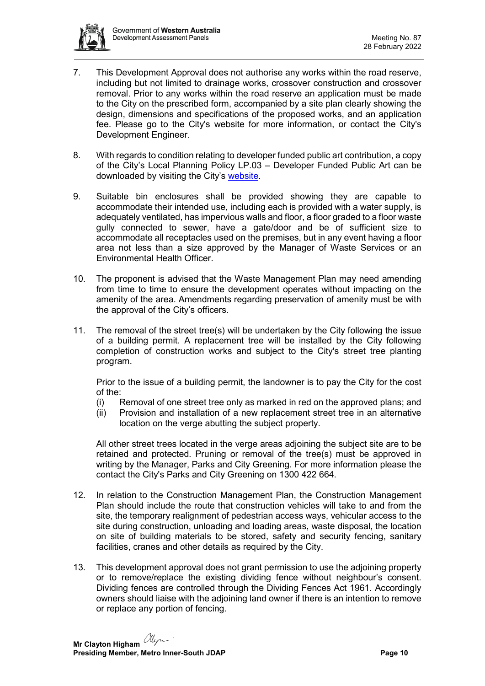

- 7. This Development Approval does not authorise any works within the road reserve, including but not limited to drainage works, crossover construction and crossover removal. Prior to any works within the road reserve an application must be made to the City on the prescribed form, accompanied by a site plan clearly showing the design, dimensions and specifications of the proposed works, and an application fee. Please go to the City's website for more information, or contact the City's Development Engineer.
- 8. With regards to condition relating to developer funded public art contribution, a copy of the City's Local Planning Policy LP.03 – Developer Funded Public Art can be downloaded by visiting the City's [website.](https://www.canning.wa.gov.au/CanningWebsite/media/Files/Residents/Planning-and-Building/Planning/Local-Planning-Policies/LP-03-Developer-Funded-Public-Art-(Adopted-15-10-2019).pdf)
- 9. Suitable bin enclosures shall be provided showing they are capable to accommodate their intended use, including each is provided with a water supply, is adequately ventilated, has impervious walls and floor, a floor graded to a floor waste gully connected to sewer, have a gate/door and be of sufficient size to accommodate all receptacles used on the premises, but in any event having a floor area not less than a size approved by the Manager of Waste Services or an Environmental Health Officer.
- 10. The proponent is advised that the Waste Management Plan may need amending from time to time to ensure the development operates without impacting on the amenity of the area. Amendments regarding preservation of amenity must be with the approval of the City's officers.
- 11. The removal of the street tree(s) will be undertaken by the City following the issue of a building permit. A replacement tree will be installed by the City following completion of construction works and subject to the City's street tree planting program.

Prior to the issue of a building permit, the landowner is to pay the City for the cost of the:

- (i) Removal of one street tree only as marked in red on the approved plans; and
- (ii) Provision and installation of a new replacement street tree in an alternative location on the verge abutting the subject property.

All other street trees located in the verge areas adjoining the subject site are to be retained and protected. Pruning or removal of the tree(s) must be approved in writing by the Manager, Parks and City Greening. For more information please the contact the City's Parks and City Greening on 1300 422 664.

- 12. In relation to the Construction Management Plan, the Construction Management Plan should include the route that construction vehicles will take to and from the site, the temporary realignment of pedestrian access ways, vehicular access to the site during construction, unloading and loading areas, waste disposal, the location on site of building materials to be stored, safety and security fencing, sanitary facilities, cranes and other details as required by the City.
- 13. This development approval does not grant permission to use the adjoining property or to remove/replace the existing dividing fence without neighbour's consent. Dividing fences are controlled through the Dividing Fences Act 1961. Accordingly owners should liaise with the adjoining land owner if there is an intention to remove or replace any portion of fencing.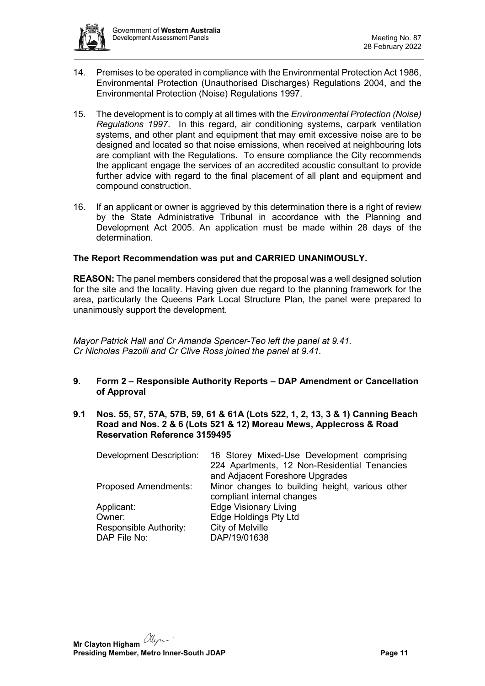

- 14. Premises to be operated in compliance with the Environmental Protection Act 1986, Environmental Protection (Unauthorised Discharges) Regulations 2004, and the Environmental Protection (Noise) Regulations 1997.
- 15. The development is to comply at all times with the *Environmental Protection (Noise) Regulations 1997*. In this regard, air conditioning systems, carpark ventilation systems, and other plant and equipment that may emit excessive noise are to be designed and located so that noise emissions, when received at neighbouring lots are compliant with the Regulations. To ensure compliance the City recommends the applicant engage the services of an accredited acoustic consultant to provide further advice with regard to the final placement of all plant and equipment and compound construction.
- 16. If an applicant or owner is aggrieved by this determination there is a right of review by the State Administrative Tribunal in accordance with the Planning and Development Act 2005. An application must be made within 28 days of the determination.

#### **The Report Recommendation was put and CARRIED UNANIMOUSLY.**

**REASON:** The panel members considered that the proposal was a well designed solution for the site and the locality. Having given due regard to the planning framework for the area, particularly the Queens Park Local Structure Plan, the panel were prepared to unanimously support the development.

*Mayor Patrick Hall and Cr Amanda Spencer-Teo left the panel at 9.41. Cr Nicholas Pazolli and Cr Clive Ross joined the panel at 9.41.*

- <span id="page-10-0"></span>**9. Form 2 – Responsible Authority Reports – DAP Amendment or Cancellation of Approval**
- <span id="page-10-1"></span>**9.1 Nos. 55, 57, 57A, 57B, 59, 61 & 61A (Lots 522, 1, 2, 13, 3 & 1) Canning Beach Road and Nos. 2 & 6 (Lots 521 & 12) Moreau Mews, Applecross & Road Reservation Reference 3159495**

| <b>Development Description:</b> | 16 Storey Mixed-Use Development comprising<br>224 Apartments, 12 Non-Residential Tenancies |
|---------------------------------|--------------------------------------------------------------------------------------------|
|                                 | and Adjacent Foreshore Upgrades                                                            |
| <b>Proposed Amendments:</b>     | Minor changes to building height, various other<br>compliant internal changes              |
| Applicant:                      | <b>Edge Visionary Living</b>                                                               |
| Owner:                          | Edge Holdings Pty Ltd                                                                      |
| Responsible Authority:          | City of Melville                                                                           |
| DAP File No:                    | DAP/19/01638                                                                               |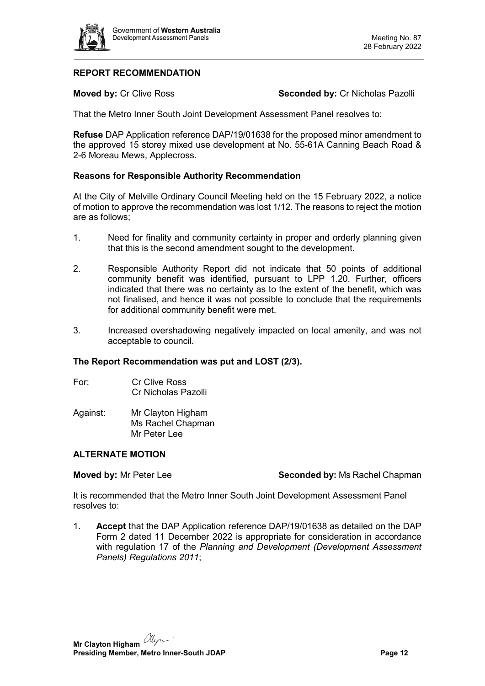

# **REPORT RECOMMENDATION**

**Moved by: Cr Clive Ross <b>Seconded by: Cr Nicholas Pazolli** 

That the Metro Inner South Joint Development Assessment Panel resolves to:

**Refuse** DAP Application reference DAP/19/01638 for the proposed minor amendment to the approved 15 storey mixed use development at No. 55-61A Canning Beach Road & 2-6 Moreau Mews, Applecross.

#### **Reasons for Responsible Authority Recommendation**

At the City of Melville Ordinary Council Meeting held on the 15 February 2022, a notice of motion to approve the recommendation was lost 1/12. The reasons to reject the motion are as follows;

- 1. Need for finality and community certainty in proper and orderly planning given that this is the second amendment sought to the development.
- 2. Responsible Authority Report did not indicate that 50 points of additional community benefit was identified, pursuant to LPP 1.20. Further, officers indicated that there was no certainty as to the extent of the benefit, which was not finalised, and hence it was not possible to conclude that the requirements for additional community benefit were met.
- 3. Increased overshadowing negatively impacted on local amenity, and was not acceptable to council.

## **The Report Recommendation was put and LOST (2/3).**

- For: Cr Clive Ross Cr Nicholas Pazolli
- Against: Mr Clayton Higham Ms Rachel Chapman Mr Peter Lee

## **ALTERNATE MOTION**

**Moved by:** Mr Peter Lee **Seconded by:** Ms Rachel Chapman

It is recommended that the Metro Inner South Joint Development Assessment Panel resolves to:

1. **Accept** that the DAP Application reference DAP/19/01638 as detailed on the DAP Form 2 dated 11 December 2022 is appropriate for consideration in accordance with regulation 17 of the *Planning and Development (Development Assessment Panels) Regulations 2011*;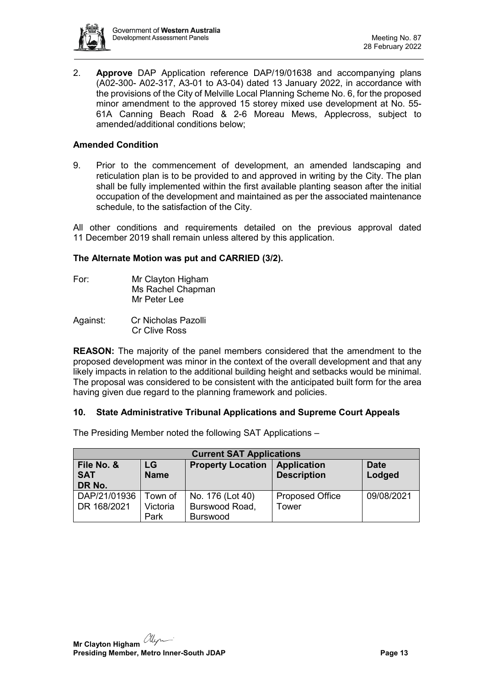

2. **Approve** DAP Application reference DAP/19/01638 and accompanying plans (A02-300- A02-317, A3-01 to A3-04) dated 13 January 2022, in accordance with the provisions of the City of Melville Local Planning Scheme No. 6, for the proposed minor amendment to the approved 15 storey mixed use development at No. 55- 61A Canning Beach Road & 2-6 Moreau Mews, Applecross, subject to amended/additional conditions below;

## **Amended Condition**

9. Prior to the commencement of development, an amended landscaping and reticulation plan is to be provided to and approved in writing by the City. The plan shall be fully implemented within the first available planting season after the initial occupation of the development and maintained as per the associated maintenance schedule, to the satisfaction of the City.

All other conditions and requirements detailed on the previous approval dated 11 December 2019 shall remain unless altered by this application.

#### **The Alternate Motion was put and CARRIED (3/2).**

| For: | Mr Clayton Higham |
|------|-------------------|
|      | Ms Rachel Chapman |
|      | Mr Peter Lee      |

Against: Cr Nicholas Pazolli Cr Clive Ross

**REASON:** The majority of the panel members considered that the amendment to the proposed development was minor in the context of the overall development and that any likely impacts in relation to the additional building height and setbacks would be minimal. The proposal was considered to be consistent with the anticipated built form for the area having given due regard to the planning framework and policies.

## <span id="page-12-0"></span>**10. State Administrative Tribunal Applications and Supreme Court Appeals**

**Current SAT Applications File No. & SAT DR No. LG Name Property Location Application Description Date Lodged** DAP/21/01936 Town of No. 176 (Lot 40) Proposed Office 09/08/2021

Burswood Road,

Tower

Burswood

The Presiding Member noted the following SAT Applications –

Victoria Park

<span id="page-12-1"></span>DR 168/2021